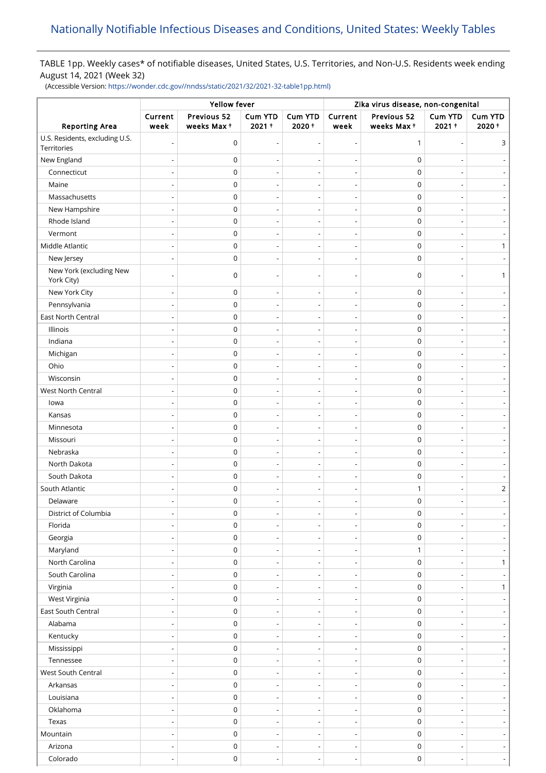# TABLE 1pp. Weekly cases\* of notifiable diseases, United States, U.S. Territories, and Non-U.S. Residents week ending August 14, 2021 (Week 32)

(Accessible Version: [https://wonder.cdc.gov//nndss/static/2021/32/2021-32-table1pp.html\)](https://wonder.cdc.gov//nndss/static/2021/32/2021-32-table1pp.html)

| Previous 52<br>Cum YTD<br>Current<br><b>Cum YTD</b><br>Current<br>Previous 52<br>Cum YTD<br><b>Cum YTD</b><br>$2021 +$<br>$2020 +$<br>$2021 +$<br>2020+<br><b>Reporting Area</b><br>week<br>weeks Max+<br>weeks Max+<br>week<br>U.S. Residents, excluding U.S.<br>0<br>$\mathbf{1}$<br>3<br>÷<br>$\overline{a}$<br>$\overline{a}$<br>Territories<br>New England<br>$\mathbf 0$<br>0<br>$\mathsf 0$<br>$\mathbf 0$<br>Connecticut<br>$\overline{a}$<br>$\mathsf 0$<br>Maine<br>$\mathbf 0$<br>Massachusetts<br>0<br>$\mathbf 0$<br>$\overline{a}$<br>$\overline{\phantom{a}}$<br>$\overline{\phantom{a}}$<br>New Hampshire<br>$\mathsf 0$<br>$\mathbf 0$<br>Rhode Island<br>$\mathsf 0$<br>$\mathbf 0$<br>$\overline{\phantom{a}}$<br>$\overline{\phantom{a}}$<br>$\overline{a}$<br>Vermont<br>0<br>$\mathbf 0$<br>$\overline{a}$<br>Middle Atlantic<br>0<br>$\mathbf 0$<br>1<br>$\overline{\phantom{a}}$<br>$\overline{\phantom{a}}$<br>$\overline{a}$<br>New Jersey<br>0<br>$\mathbf 0$<br>$\overline{\phantom{a}}$<br>$\overline{a}$<br>New York (excluding New<br>$\mathbf 0$<br>0<br>1<br>York City)<br>New York City<br>$\mathbf 0$<br>0<br>Pennsylvania<br>$\mathsf 0$<br>$\mathbf 0$<br>$\overline{a}$<br>$\overline{a}$<br>East North Central<br>$\mathsf 0$<br>$\mathbf 0$<br>$\overline{\phantom{a}}$<br>Illinois<br>0<br>$\mathbf 0$<br>$\overline{a}$<br>$\overline{\phantom{a}}$<br>$\overline{\phantom{a}}$<br>Indiana<br>0<br>$\pmb{0}$<br>$\mathsf 0$<br>$\mathbf 0$<br>Michigan<br>$\overline{\phantom{a}}$<br>$\overline{\phantom{a}}$<br>Ohio<br>$\mathsf 0$<br>$\mathbf 0$<br>Ĭ.<br>Wisconsin<br>0<br>$\mathbf 0$<br>$\overline{\phantom{a}}$<br>$\overline{\phantom{a}}$<br>$\overline{a}$<br>West North Central<br>0<br>$\mathbf 0$<br>0<br>$\mathbf 0$<br>lowa<br>$\overline{\phantom{a}}$<br>$\overline{\phantom{0}}$<br>$\overline{a}$<br>$\mathsf 0$<br>$\mathbf 0$<br>Kansas<br>$\overline{a}$<br>$\overline{a}$<br>Minnesota<br>0<br>$\mathbf 0$<br>$\overline{\phantom{a}}$<br>$\qquad \qquad \blacksquare$<br>$\overline{\phantom{0}}$<br>Missouri<br>$\mathsf 0$<br>$\mathbf 0$<br>$\overline{\phantom{a}}$<br>$\overline{a}$<br>$\overline{\phantom{a}}$<br>Nebraska<br>$\mathsf 0$<br>$\mathbf 0$<br>North Dakota<br>$\mathsf 0$<br>$\mathbf 0$<br>$\overline{\phantom{a}}$<br>$\overline{a}$<br>$\overline{a}$<br>South Dakota<br>$\mathsf 0$<br>$\mathbf 0$<br>South Atlantic<br>$\overline{2}$<br>0<br>1<br>Delaware<br>0<br>$\mathbf 0$<br>District of Columbia<br>0<br>$\pmb{0}$<br>Florida<br>0<br>$\mathbf 0$<br>$\overline{a}$<br>$\overline{a}$<br>$\mathsf 0$<br>$\mathbf 0$<br>Georgia<br>$\overline{\phantom{a}}$<br>$\overline{\phantom{a}}$<br>$\overline{\phantom{a}}$<br>$\overline{\phantom{a}}$<br>Maryland<br>$\mathbf 0$<br>1<br>$\overline{\phantom{a}}$<br>$\overline{\phantom{a}}$<br>$\overline{\phantom{a}}$<br>North Carolina<br>$\mathsf 0$<br>$\mathbf 0$<br>$\mathbf{1}$<br>$\overline{\phantom{a}}$<br>$\overline{\phantom{a}}$<br>$\qquad \qquad \blacksquare$<br>South Carolina<br>$\mathsf 0$<br>$\mathbf 0$<br>$\overline{\phantom{a}}$<br>$\overline{\phantom{a}}$<br>$\overline{\phantom{a}}$<br>Virginia<br>$\mathsf 0$<br>$\pmb{0}$<br>$\mathbf{1}$<br>$\overline{\phantom{a}}$<br>$\overline{a}$<br>$\overline{\phantom{a}}$<br>West Virginia<br>$\mathsf 0$<br>$\pmb{0}$<br>$\overline{\phantom{a}}$<br>$\overline{\phantom{0}}$<br>$\overline{\phantom{a}}$<br>$\overline{\phantom{a}}$<br>East South Central<br>$\mathbf 0$<br>$\pmb{0}$<br>$\overline{\phantom{0}}$<br>Alabama<br>$\mathsf 0$<br>$\mathbf 0$<br>$\overline{\phantom{a}}$<br>$\overline{\phantom{a}}$<br>$\overline{\phantom{a}}$<br>$\overline{\phantom{a}}$<br>Kentucky<br>0<br>$\pmb{0}$<br>$\overline{a}$<br>$\overline{a}$<br>Mississippi<br>$\mathsf 0$<br>$\mathbf 0$<br>$\overline{\phantom{a}}$<br>$\overline{\phantom{a}}$<br>$\overline{\phantom{a}}$<br>$\overline{\phantom{a}}$<br>Tennessee<br>0<br>0<br>$\overline{\phantom{0}}$ | Yellow fever |  |  |  | Zika virus disease, non-congenital |  |  |  |  |
|--------------------------------------------------------------------------------------------------------------------------------------------------------------------------------------------------------------------------------------------------------------------------------------------------------------------------------------------------------------------------------------------------------------------------------------------------------------------------------------------------------------------------------------------------------------------------------------------------------------------------------------------------------------------------------------------------------------------------------------------------------------------------------------------------------------------------------------------------------------------------------------------------------------------------------------------------------------------------------------------------------------------------------------------------------------------------------------------------------------------------------------------------------------------------------------------------------------------------------------------------------------------------------------------------------------------------------------------------------------------------------------------------------------------------------------------------------------------------------------------------------------------------------------------------------------------------------------------------------------------------------------------------------------------------------------------------------------------------------------------------------------------------------------------------------------------------------------------------------------------------------------------------------------------------------------------------------------------------------------------------------------------------------------------------------------------------------------------------------------------------------------------------------------------------------------------------------------------------------------------------------------------------------------------------------------------------------------------------------------------------------------------------------------------------------------------------------------------------------------------------------------------------------------------------------------------------------------------------------------------------------------------------------------------------------------------------------------------------------------------------------------------------------------------------------------------------------------------------------------------------------------------------------------------------------------------------------------------------------------------------------------------------------------------------------------------------------------------------------------------------------------------------------------------------------------------------------------------------------------------------------------------------------------------------------------------------------------------------------------------------------------------------------------------------------------------------------------------------------------------------------------------------------------------------------------------------------------------------------------------------------------------------------------------------------------------------------------------------------------------------------------------------------------------------------------------------------------------------------------------------------------------------------------------------------------------------------------------------------------------|--------------|--|--|--|------------------------------------|--|--|--|--|
|                                                                                                                                                                                                                                                                                                                                                                                                                                                                                                                                                                                                                                                                                                                                                                                                                                                                                                                                                                                                                                                                                                                                                                                                                                                                                                                                                                                                                                                                                                                                                                                                                                                                                                                                                                                                                                                                                                                                                                                                                                                                                                                                                                                                                                                                                                                                                                                                                                                                                                                                                                                                                                                                                                                                                                                                                                                                                                                                                                                                                                                                                                                                                                                                                                                                                                                                                                                                                                                                                                                                                                                                                                                                                                                                                                                                                                                                                                                                                                                            |              |  |  |  |                                    |  |  |  |  |
|                                                                                                                                                                                                                                                                                                                                                                                                                                                                                                                                                                                                                                                                                                                                                                                                                                                                                                                                                                                                                                                                                                                                                                                                                                                                                                                                                                                                                                                                                                                                                                                                                                                                                                                                                                                                                                                                                                                                                                                                                                                                                                                                                                                                                                                                                                                                                                                                                                                                                                                                                                                                                                                                                                                                                                                                                                                                                                                                                                                                                                                                                                                                                                                                                                                                                                                                                                                                                                                                                                                                                                                                                                                                                                                                                                                                                                                                                                                                                                                            |              |  |  |  |                                    |  |  |  |  |
|                                                                                                                                                                                                                                                                                                                                                                                                                                                                                                                                                                                                                                                                                                                                                                                                                                                                                                                                                                                                                                                                                                                                                                                                                                                                                                                                                                                                                                                                                                                                                                                                                                                                                                                                                                                                                                                                                                                                                                                                                                                                                                                                                                                                                                                                                                                                                                                                                                                                                                                                                                                                                                                                                                                                                                                                                                                                                                                                                                                                                                                                                                                                                                                                                                                                                                                                                                                                                                                                                                                                                                                                                                                                                                                                                                                                                                                                                                                                                                                            |              |  |  |  |                                    |  |  |  |  |
|                                                                                                                                                                                                                                                                                                                                                                                                                                                                                                                                                                                                                                                                                                                                                                                                                                                                                                                                                                                                                                                                                                                                                                                                                                                                                                                                                                                                                                                                                                                                                                                                                                                                                                                                                                                                                                                                                                                                                                                                                                                                                                                                                                                                                                                                                                                                                                                                                                                                                                                                                                                                                                                                                                                                                                                                                                                                                                                                                                                                                                                                                                                                                                                                                                                                                                                                                                                                                                                                                                                                                                                                                                                                                                                                                                                                                                                                                                                                                                                            |              |  |  |  |                                    |  |  |  |  |
|                                                                                                                                                                                                                                                                                                                                                                                                                                                                                                                                                                                                                                                                                                                                                                                                                                                                                                                                                                                                                                                                                                                                                                                                                                                                                                                                                                                                                                                                                                                                                                                                                                                                                                                                                                                                                                                                                                                                                                                                                                                                                                                                                                                                                                                                                                                                                                                                                                                                                                                                                                                                                                                                                                                                                                                                                                                                                                                                                                                                                                                                                                                                                                                                                                                                                                                                                                                                                                                                                                                                                                                                                                                                                                                                                                                                                                                                                                                                                                                            |              |  |  |  |                                    |  |  |  |  |
|                                                                                                                                                                                                                                                                                                                                                                                                                                                                                                                                                                                                                                                                                                                                                                                                                                                                                                                                                                                                                                                                                                                                                                                                                                                                                                                                                                                                                                                                                                                                                                                                                                                                                                                                                                                                                                                                                                                                                                                                                                                                                                                                                                                                                                                                                                                                                                                                                                                                                                                                                                                                                                                                                                                                                                                                                                                                                                                                                                                                                                                                                                                                                                                                                                                                                                                                                                                                                                                                                                                                                                                                                                                                                                                                                                                                                                                                                                                                                                                            |              |  |  |  |                                    |  |  |  |  |
|                                                                                                                                                                                                                                                                                                                                                                                                                                                                                                                                                                                                                                                                                                                                                                                                                                                                                                                                                                                                                                                                                                                                                                                                                                                                                                                                                                                                                                                                                                                                                                                                                                                                                                                                                                                                                                                                                                                                                                                                                                                                                                                                                                                                                                                                                                                                                                                                                                                                                                                                                                                                                                                                                                                                                                                                                                                                                                                                                                                                                                                                                                                                                                                                                                                                                                                                                                                                                                                                                                                                                                                                                                                                                                                                                                                                                                                                                                                                                                                            |              |  |  |  |                                    |  |  |  |  |
|                                                                                                                                                                                                                                                                                                                                                                                                                                                                                                                                                                                                                                                                                                                                                                                                                                                                                                                                                                                                                                                                                                                                                                                                                                                                                                                                                                                                                                                                                                                                                                                                                                                                                                                                                                                                                                                                                                                                                                                                                                                                                                                                                                                                                                                                                                                                                                                                                                                                                                                                                                                                                                                                                                                                                                                                                                                                                                                                                                                                                                                                                                                                                                                                                                                                                                                                                                                                                                                                                                                                                                                                                                                                                                                                                                                                                                                                                                                                                                                            |              |  |  |  |                                    |  |  |  |  |
|                                                                                                                                                                                                                                                                                                                                                                                                                                                                                                                                                                                                                                                                                                                                                                                                                                                                                                                                                                                                                                                                                                                                                                                                                                                                                                                                                                                                                                                                                                                                                                                                                                                                                                                                                                                                                                                                                                                                                                                                                                                                                                                                                                                                                                                                                                                                                                                                                                                                                                                                                                                                                                                                                                                                                                                                                                                                                                                                                                                                                                                                                                                                                                                                                                                                                                                                                                                                                                                                                                                                                                                                                                                                                                                                                                                                                                                                                                                                                                                            |              |  |  |  |                                    |  |  |  |  |
|                                                                                                                                                                                                                                                                                                                                                                                                                                                                                                                                                                                                                                                                                                                                                                                                                                                                                                                                                                                                                                                                                                                                                                                                                                                                                                                                                                                                                                                                                                                                                                                                                                                                                                                                                                                                                                                                                                                                                                                                                                                                                                                                                                                                                                                                                                                                                                                                                                                                                                                                                                                                                                                                                                                                                                                                                                                                                                                                                                                                                                                                                                                                                                                                                                                                                                                                                                                                                                                                                                                                                                                                                                                                                                                                                                                                                                                                                                                                                                                            |              |  |  |  |                                    |  |  |  |  |
|                                                                                                                                                                                                                                                                                                                                                                                                                                                                                                                                                                                                                                                                                                                                                                                                                                                                                                                                                                                                                                                                                                                                                                                                                                                                                                                                                                                                                                                                                                                                                                                                                                                                                                                                                                                                                                                                                                                                                                                                                                                                                                                                                                                                                                                                                                                                                                                                                                                                                                                                                                                                                                                                                                                                                                                                                                                                                                                                                                                                                                                                                                                                                                                                                                                                                                                                                                                                                                                                                                                                                                                                                                                                                                                                                                                                                                                                                                                                                                                            |              |  |  |  |                                    |  |  |  |  |
|                                                                                                                                                                                                                                                                                                                                                                                                                                                                                                                                                                                                                                                                                                                                                                                                                                                                                                                                                                                                                                                                                                                                                                                                                                                                                                                                                                                                                                                                                                                                                                                                                                                                                                                                                                                                                                                                                                                                                                                                                                                                                                                                                                                                                                                                                                                                                                                                                                                                                                                                                                                                                                                                                                                                                                                                                                                                                                                                                                                                                                                                                                                                                                                                                                                                                                                                                                                                                                                                                                                                                                                                                                                                                                                                                                                                                                                                                                                                                                                            |              |  |  |  |                                    |  |  |  |  |
|                                                                                                                                                                                                                                                                                                                                                                                                                                                                                                                                                                                                                                                                                                                                                                                                                                                                                                                                                                                                                                                                                                                                                                                                                                                                                                                                                                                                                                                                                                                                                                                                                                                                                                                                                                                                                                                                                                                                                                                                                                                                                                                                                                                                                                                                                                                                                                                                                                                                                                                                                                                                                                                                                                                                                                                                                                                                                                                                                                                                                                                                                                                                                                                                                                                                                                                                                                                                                                                                                                                                                                                                                                                                                                                                                                                                                                                                                                                                                                                            |              |  |  |  |                                    |  |  |  |  |
|                                                                                                                                                                                                                                                                                                                                                                                                                                                                                                                                                                                                                                                                                                                                                                                                                                                                                                                                                                                                                                                                                                                                                                                                                                                                                                                                                                                                                                                                                                                                                                                                                                                                                                                                                                                                                                                                                                                                                                                                                                                                                                                                                                                                                                                                                                                                                                                                                                                                                                                                                                                                                                                                                                                                                                                                                                                                                                                                                                                                                                                                                                                                                                                                                                                                                                                                                                                                                                                                                                                                                                                                                                                                                                                                                                                                                                                                                                                                                                                            |              |  |  |  |                                    |  |  |  |  |
|                                                                                                                                                                                                                                                                                                                                                                                                                                                                                                                                                                                                                                                                                                                                                                                                                                                                                                                                                                                                                                                                                                                                                                                                                                                                                                                                                                                                                                                                                                                                                                                                                                                                                                                                                                                                                                                                                                                                                                                                                                                                                                                                                                                                                                                                                                                                                                                                                                                                                                                                                                                                                                                                                                                                                                                                                                                                                                                                                                                                                                                                                                                                                                                                                                                                                                                                                                                                                                                                                                                                                                                                                                                                                                                                                                                                                                                                                                                                                                                            |              |  |  |  |                                    |  |  |  |  |
|                                                                                                                                                                                                                                                                                                                                                                                                                                                                                                                                                                                                                                                                                                                                                                                                                                                                                                                                                                                                                                                                                                                                                                                                                                                                                                                                                                                                                                                                                                                                                                                                                                                                                                                                                                                                                                                                                                                                                                                                                                                                                                                                                                                                                                                                                                                                                                                                                                                                                                                                                                                                                                                                                                                                                                                                                                                                                                                                                                                                                                                                                                                                                                                                                                                                                                                                                                                                                                                                                                                                                                                                                                                                                                                                                                                                                                                                                                                                                                                            |              |  |  |  |                                    |  |  |  |  |
|                                                                                                                                                                                                                                                                                                                                                                                                                                                                                                                                                                                                                                                                                                                                                                                                                                                                                                                                                                                                                                                                                                                                                                                                                                                                                                                                                                                                                                                                                                                                                                                                                                                                                                                                                                                                                                                                                                                                                                                                                                                                                                                                                                                                                                                                                                                                                                                                                                                                                                                                                                                                                                                                                                                                                                                                                                                                                                                                                                                                                                                                                                                                                                                                                                                                                                                                                                                                                                                                                                                                                                                                                                                                                                                                                                                                                                                                                                                                                                                            |              |  |  |  |                                    |  |  |  |  |
|                                                                                                                                                                                                                                                                                                                                                                                                                                                                                                                                                                                                                                                                                                                                                                                                                                                                                                                                                                                                                                                                                                                                                                                                                                                                                                                                                                                                                                                                                                                                                                                                                                                                                                                                                                                                                                                                                                                                                                                                                                                                                                                                                                                                                                                                                                                                                                                                                                                                                                                                                                                                                                                                                                                                                                                                                                                                                                                                                                                                                                                                                                                                                                                                                                                                                                                                                                                                                                                                                                                                                                                                                                                                                                                                                                                                                                                                                                                                                                                            |              |  |  |  |                                    |  |  |  |  |
|                                                                                                                                                                                                                                                                                                                                                                                                                                                                                                                                                                                                                                                                                                                                                                                                                                                                                                                                                                                                                                                                                                                                                                                                                                                                                                                                                                                                                                                                                                                                                                                                                                                                                                                                                                                                                                                                                                                                                                                                                                                                                                                                                                                                                                                                                                                                                                                                                                                                                                                                                                                                                                                                                                                                                                                                                                                                                                                                                                                                                                                                                                                                                                                                                                                                                                                                                                                                                                                                                                                                                                                                                                                                                                                                                                                                                                                                                                                                                                                            |              |  |  |  |                                    |  |  |  |  |
|                                                                                                                                                                                                                                                                                                                                                                                                                                                                                                                                                                                                                                                                                                                                                                                                                                                                                                                                                                                                                                                                                                                                                                                                                                                                                                                                                                                                                                                                                                                                                                                                                                                                                                                                                                                                                                                                                                                                                                                                                                                                                                                                                                                                                                                                                                                                                                                                                                                                                                                                                                                                                                                                                                                                                                                                                                                                                                                                                                                                                                                                                                                                                                                                                                                                                                                                                                                                                                                                                                                                                                                                                                                                                                                                                                                                                                                                                                                                                                                            |              |  |  |  |                                    |  |  |  |  |
|                                                                                                                                                                                                                                                                                                                                                                                                                                                                                                                                                                                                                                                                                                                                                                                                                                                                                                                                                                                                                                                                                                                                                                                                                                                                                                                                                                                                                                                                                                                                                                                                                                                                                                                                                                                                                                                                                                                                                                                                                                                                                                                                                                                                                                                                                                                                                                                                                                                                                                                                                                                                                                                                                                                                                                                                                                                                                                                                                                                                                                                                                                                                                                                                                                                                                                                                                                                                                                                                                                                                                                                                                                                                                                                                                                                                                                                                                                                                                                                            |              |  |  |  |                                    |  |  |  |  |
|                                                                                                                                                                                                                                                                                                                                                                                                                                                                                                                                                                                                                                                                                                                                                                                                                                                                                                                                                                                                                                                                                                                                                                                                                                                                                                                                                                                                                                                                                                                                                                                                                                                                                                                                                                                                                                                                                                                                                                                                                                                                                                                                                                                                                                                                                                                                                                                                                                                                                                                                                                                                                                                                                                                                                                                                                                                                                                                                                                                                                                                                                                                                                                                                                                                                                                                                                                                                                                                                                                                                                                                                                                                                                                                                                                                                                                                                                                                                                                                            |              |  |  |  |                                    |  |  |  |  |
|                                                                                                                                                                                                                                                                                                                                                                                                                                                                                                                                                                                                                                                                                                                                                                                                                                                                                                                                                                                                                                                                                                                                                                                                                                                                                                                                                                                                                                                                                                                                                                                                                                                                                                                                                                                                                                                                                                                                                                                                                                                                                                                                                                                                                                                                                                                                                                                                                                                                                                                                                                                                                                                                                                                                                                                                                                                                                                                                                                                                                                                                                                                                                                                                                                                                                                                                                                                                                                                                                                                                                                                                                                                                                                                                                                                                                                                                                                                                                                                            |              |  |  |  |                                    |  |  |  |  |
|                                                                                                                                                                                                                                                                                                                                                                                                                                                                                                                                                                                                                                                                                                                                                                                                                                                                                                                                                                                                                                                                                                                                                                                                                                                                                                                                                                                                                                                                                                                                                                                                                                                                                                                                                                                                                                                                                                                                                                                                                                                                                                                                                                                                                                                                                                                                                                                                                                                                                                                                                                                                                                                                                                                                                                                                                                                                                                                                                                                                                                                                                                                                                                                                                                                                                                                                                                                                                                                                                                                                                                                                                                                                                                                                                                                                                                                                                                                                                                                            |              |  |  |  |                                    |  |  |  |  |
|                                                                                                                                                                                                                                                                                                                                                                                                                                                                                                                                                                                                                                                                                                                                                                                                                                                                                                                                                                                                                                                                                                                                                                                                                                                                                                                                                                                                                                                                                                                                                                                                                                                                                                                                                                                                                                                                                                                                                                                                                                                                                                                                                                                                                                                                                                                                                                                                                                                                                                                                                                                                                                                                                                                                                                                                                                                                                                                                                                                                                                                                                                                                                                                                                                                                                                                                                                                                                                                                                                                                                                                                                                                                                                                                                                                                                                                                                                                                                                                            |              |  |  |  |                                    |  |  |  |  |
|                                                                                                                                                                                                                                                                                                                                                                                                                                                                                                                                                                                                                                                                                                                                                                                                                                                                                                                                                                                                                                                                                                                                                                                                                                                                                                                                                                                                                                                                                                                                                                                                                                                                                                                                                                                                                                                                                                                                                                                                                                                                                                                                                                                                                                                                                                                                                                                                                                                                                                                                                                                                                                                                                                                                                                                                                                                                                                                                                                                                                                                                                                                                                                                                                                                                                                                                                                                                                                                                                                                                                                                                                                                                                                                                                                                                                                                                                                                                                                                            |              |  |  |  |                                    |  |  |  |  |
|                                                                                                                                                                                                                                                                                                                                                                                                                                                                                                                                                                                                                                                                                                                                                                                                                                                                                                                                                                                                                                                                                                                                                                                                                                                                                                                                                                                                                                                                                                                                                                                                                                                                                                                                                                                                                                                                                                                                                                                                                                                                                                                                                                                                                                                                                                                                                                                                                                                                                                                                                                                                                                                                                                                                                                                                                                                                                                                                                                                                                                                                                                                                                                                                                                                                                                                                                                                                                                                                                                                                                                                                                                                                                                                                                                                                                                                                                                                                                                                            |              |  |  |  |                                    |  |  |  |  |
|                                                                                                                                                                                                                                                                                                                                                                                                                                                                                                                                                                                                                                                                                                                                                                                                                                                                                                                                                                                                                                                                                                                                                                                                                                                                                                                                                                                                                                                                                                                                                                                                                                                                                                                                                                                                                                                                                                                                                                                                                                                                                                                                                                                                                                                                                                                                                                                                                                                                                                                                                                                                                                                                                                                                                                                                                                                                                                                                                                                                                                                                                                                                                                                                                                                                                                                                                                                                                                                                                                                                                                                                                                                                                                                                                                                                                                                                                                                                                                                            |              |  |  |  |                                    |  |  |  |  |
|                                                                                                                                                                                                                                                                                                                                                                                                                                                                                                                                                                                                                                                                                                                                                                                                                                                                                                                                                                                                                                                                                                                                                                                                                                                                                                                                                                                                                                                                                                                                                                                                                                                                                                                                                                                                                                                                                                                                                                                                                                                                                                                                                                                                                                                                                                                                                                                                                                                                                                                                                                                                                                                                                                                                                                                                                                                                                                                                                                                                                                                                                                                                                                                                                                                                                                                                                                                                                                                                                                                                                                                                                                                                                                                                                                                                                                                                                                                                                                                            |              |  |  |  |                                    |  |  |  |  |
|                                                                                                                                                                                                                                                                                                                                                                                                                                                                                                                                                                                                                                                                                                                                                                                                                                                                                                                                                                                                                                                                                                                                                                                                                                                                                                                                                                                                                                                                                                                                                                                                                                                                                                                                                                                                                                                                                                                                                                                                                                                                                                                                                                                                                                                                                                                                                                                                                                                                                                                                                                                                                                                                                                                                                                                                                                                                                                                                                                                                                                                                                                                                                                                                                                                                                                                                                                                                                                                                                                                                                                                                                                                                                                                                                                                                                                                                                                                                                                                            |              |  |  |  |                                    |  |  |  |  |
|                                                                                                                                                                                                                                                                                                                                                                                                                                                                                                                                                                                                                                                                                                                                                                                                                                                                                                                                                                                                                                                                                                                                                                                                                                                                                                                                                                                                                                                                                                                                                                                                                                                                                                                                                                                                                                                                                                                                                                                                                                                                                                                                                                                                                                                                                                                                                                                                                                                                                                                                                                                                                                                                                                                                                                                                                                                                                                                                                                                                                                                                                                                                                                                                                                                                                                                                                                                                                                                                                                                                                                                                                                                                                                                                                                                                                                                                                                                                                                                            |              |  |  |  |                                    |  |  |  |  |
|                                                                                                                                                                                                                                                                                                                                                                                                                                                                                                                                                                                                                                                                                                                                                                                                                                                                                                                                                                                                                                                                                                                                                                                                                                                                                                                                                                                                                                                                                                                                                                                                                                                                                                                                                                                                                                                                                                                                                                                                                                                                                                                                                                                                                                                                                                                                                                                                                                                                                                                                                                                                                                                                                                                                                                                                                                                                                                                                                                                                                                                                                                                                                                                                                                                                                                                                                                                                                                                                                                                                                                                                                                                                                                                                                                                                                                                                                                                                                                                            |              |  |  |  |                                    |  |  |  |  |
|                                                                                                                                                                                                                                                                                                                                                                                                                                                                                                                                                                                                                                                                                                                                                                                                                                                                                                                                                                                                                                                                                                                                                                                                                                                                                                                                                                                                                                                                                                                                                                                                                                                                                                                                                                                                                                                                                                                                                                                                                                                                                                                                                                                                                                                                                                                                                                                                                                                                                                                                                                                                                                                                                                                                                                                                                                                                                                                                                                                                                                                                                                                                                                                                                                                                                                                                                                                                                                                                                                                                                                                                                                                                                                                                                                                                                                                                                                                                                                                            |              |  |  |  |                                    |  |  |  |  |
|                                                                                                                                                                                                                                                                                                                                                                                                                                                                                                                                                                                                                                                                                                                                                                                                                                                                                                                                                                                                                                                                                                                                                                                                                                                                                                                                                                                                                                                                                                                                                                                                                                                                                                                                                                                                                                                                                                                                                                                                                                                                                                                                                                                                                                                                                                                                                                                                                                                                                                                                                                                                                                                                                                                                                                                                                                                                                                                                                                                                                                                                                                                                                                                                                                                                                                                                                                                                                                                                                                                                                                                                                                                                                                                                                                                                                                                                                                                                                                                            |              |  |  |  |                                    |  |  |  |  |
|                                                                                                                                                                                                                                                                                                                                                                                                                                                                                                                                                                                                                                                                                                                                                                                                                                                                                                                                                                                                                                                                                                                                                                                                                                                                                                                                                                                                                                                                                                                                                                                                                                                                                                                                                                                                                                                                                                                                                                                                                                                                                                                                                                                                                                                                                                                                                                                                                                                                                                                                                                                                                                                                                                                                                                                                                                                                                                                                                                                                                                                                                                                                                                                                                                                                                                                                                                                                                                                                                                                                                                                                                                                                                                                                                                                                                                                                                                                                                                                            |              |  |  |  |                                    |  |  |  |  |
|                                                                                                                                                                                                                                                                                                                                                                                                                                                                                                                                                                                                                                                                                                                                                                                                                                                                                                                                                                                                                                                                                                                                                                                                                                                                                                                                                                                                                                                                                                                                                                                                                                                                                                                                                                                                                                                                                                                                                                                                                                                                                                                                                                                                                                                                                                                                                                                                                                                                                                                                                                                                                                                                                                                                                                                                                                                                                                                                                                                                                                                                                                                                                                                                                                                                                                                                                                                                                                                                                                                                                                                                                                                                                                                                                                                                                                                                                                                                                                                            |              |  |  |  |                                    |  |  |  |  |
|                                                                                                                                                                                                                                                                                                                                                                                                                                                                                                                                                                                                                                                                                                                                                                                                                                                                                                                                                                                                                                                                                                                                                                                                                                                                                                                                                                                                                                                                                                                                                                                                                                                                                                                                                                                                                                                                                                                                                                                                                                                                                                                                                                                                                                                                                                                                                                                                                                                                                                                                                                                                                                                                                                                                                                                                                                                                                                                                                                                                                                                                                                                                                                                                                                                                                                                                                                                                                                                                                                                                                                                                                                                                                                                                                                                                                                                                                                                                                                                            |              |  |  |  |                                    |  |  |  |  |
|                                                                                                                                                                                                                                                                                                                                                                                                                                                                                                                                                                                                                                                                                                                                                                                                                                                                                                                                                                                                                                                                                                                                                                                                                                                                                                                                                                                                                                                                                                                                                                                                                                                                                                                                                                                                                                                                                                                                                                                                                                                                                                                                                                                                                                                                                                                                                                                                                                                                                                                                                                                                                                                                                                                                                                                                                                                                                                                                                                                                                                                                                                                                                                                                                                                                                                                                                                                                                                                                                                                                                                                                                                                                                                                                                                                                                                                                                                                                                                                            |              |  |  |  |                                    |  |  |  |  |
|                                                                                                                                                                                                                                                                                                                                                                                                                                                                                                                                                                                                                                                                                                                                                                                                                                                                                                                                                                                                                                                                                                                                                                                                                                                                                                                                                                                                                                                                                                                                                                                                                                                                                                                                                                                                                                                                                                                                                                                                                                                                                                                                                                                                                                                                                                                                                                                                                                                                                                                                                                                                                                                                                                                                                                                                                                                                                                                                                                                                                                                                                                                                                                                                                                                                                                                                                                                                                                                                                                                                                                                                                                                                                                                                                                                                                                                                                                                                                                                            |              |  |  |  |                                    |  |  |  |  |
|                                                                                                                                                                                                                                                                                                                                                                                                                                                                                                                                                                                                                                                                                                                                                                                                                                                                                                                                                                                                                                                                                                                                                                                                                                                                                                                                                                                                                                                                                                                                                                                                                                                                                                                                                                                                                                                                                                                                                                                                                                                                                                                                                                                                                                                                                                                                                                                                                                                                                                                                                                                                                                                                                                                                                                                                                                                                                                                                                                                                                                                                                                                                                                                                                                                                                                                                                                                                                                                                                                                                                                                                                                                                                                                                                                                                                                                                                                                                                                                            |              |  |  |  |                                    |  |  |  |  |
|                                                                                                                                                                                                                                                                                                                                                                                                                                                                                                                                                                                                                                                                                                                                                                                                                                                                                                                                                                                                                                                                                                                                                                                                                                                                                                                                                                                                                                                                                                                                                                                                                                                                                                                                                                                                                                                                                                                                                                                                                                                                                                                                                                                                                                                                                                                                                                                                                                                                                                                                                                                                                                                                                                                                                                                                                                                                                                                                                                                                                                                                                                                                                                                                                                                                                                                                                                                                                                                                                                                                                                                                                                                                                                                                                                                                                                                                                                                                                                                            |              |  |  |  |                                    |  |  |  |  |
|                                                                                                                                                                                                                                                                                                                                                                                                                                                                                                                                                                                                                                                                                                                                                                                                                                                                                                                                                                                                                                                                                                                                                                                                                                                                                                                                                                                                                                                                                                                                                                                                                                                                                                                                                                                                                                                                                                                                                                                                                                                                                                                                                                                                                                                                                                                                                                                                                                                                                                                                                                                                                                                                                                                                                                                                                                                                                                                                                                                                                                                                                                                                                                                                                                                                                                                                                                                                                                                                                                                                                                                                                                                                                                                                                                                                                                                                                                                                                                                            |              |  |  |  |                                    |  |  |  |  |
|                                                                                                                                                                                                                                                                                                                                                                                                                                                                                                                                                                                                                                                                                                                                                                                                                                                                                                                                                                                                                                                                                                                                                                                                                                                                                                                                                                                                                                                                                                                                                                                                                                                                                                                                                                                                                                                                                                                                                                                                                                                                                                                                                                                                                                                                                                                                                                                                                                                                                                                                                                                                                                                                                                                                                                                                                                                                                                                                                                                                                                                                                                                                                                                                                                                                                                                                                                                                                                                                                                                                                                                                                                                                                                                                                                                                                                                                                                                                                                                            |              |  |  |  |                                    |  |  |  |  |
| West South Central<br>$\mathsf 0$<br>$\mathbf 0$<br>$\overline{\phantom{a}}$<br>$\overline{\phantom{a}}$<br>$\overline{\phantom{0}}$                                                                                                                                                                                                                                                                                                                                                                                                                                                                                                                                                                                                                                                                                                                                                                                                                                                                                                                                                                                                                                                                                                                                                                                                                                                                                                                                                                                                                                                                                                                                                                                                                                                                                                                                                                                                                                                                                                                                                                                                                                                                                                                                                                                                                                                                                                                                                                                                                                                                                                                                                                                                                                                                                                                                                                                                                                                                                                                                                                                                                                                                                                                                                                                                                                                                                                                                                                                                                                                                                                                                                                                                                                                                                                                                                                                                                                                       |              |  |  |  |                                    |  |  |  |  |
| $\mathsf 0$<br>Arkansas<br>$\mathbf 0$<br>$\overline{\phantom{a}}$<br>$\overline{\phantom{a}}$<br>$\overline{\phantom{a}}$                                                                                                                                                                                                                                                                                                                                                                                                                                                                                                                                                                                                                                                                                                                                                                                                                                                                                                                                                                                                                                                                                                                                                                                                                                                                                                                                                                                                                                                                                                                                                                                                                                                                                                                                                                                                                                                                                                                                                                                                                                                                                                                                                                                                                                                                                                                                                                                                                                                                                                                                                                                                                                                                                                                                                                                                                                                                                                                                                                                                                                                                                                                                                                                                                                                                                                                                                                                                                                                                                                                                                                                                                                                                                                                                                                                                                                                                 |              |  |  |  |                                    |  |  |  |  |
| Louisiana<br>$\mathsf 0$<br>$\mathbf 0$<br>$\overline{\phantom{0}}$<br>$\overline{\phantom{a}}$<br>$\overline{\phantom{a}}$<br>$\overline{\phantom{a}}$                                                                                                                                                                                                                                                                                                                                                                                                                                                                                                                                                                                                                                                                                                                                                                                                                                                                                                                                                                                                                                                                                                                                                                                                                                                                                                                                                                                                                                                                                                                                                                                                                                                                                                                                                                                                                                                                                                                                                                                                                                                                                                                                                                                                                                                                                                                                                                                                                                                                                                                                                                                                                                                                                                                                                                                                                                                                                                                                                                                                                                                                                                                                                                                                                                                                                                                                                                                                                                                                                                                                                                                                                                                                                                                                                                                                                                    |              |  |  |  |                                    |  |  |  |  |
| Oklahoma<br>$\mathsf 0$<br>$\pmb{0}$<br>$\overline{a}$<br>$\overline{\phantom{a}}$<br>$\overline{\phantom{a}}$<br>$\overline{\phantom{0}}$                                                                                                                                                                                                                                                                                                                                                                                                                                                                                                                                                                                                                                                                                                                                                                                                                                                                                                                                                                                                                                                                                                                                                                                                                                                                                                                                                                                                                                                                                                                                                                                                                                                                                                                                                                                                                                                                                                                                                                                                                                                                                                                                                                                                                                                                                                                                                                                                                                                                                                                                                                                                                                                                                                                                                                                                                                                                                                                                                                                                                                                                                                                                                                                                                                                                                                                                                                                                                                                                                                                                                                                                                                                                                                                                                                                                                                                 |              |  |  |  |                                    |  |  |  |  |
| Texas<br>0<br>$\pmb{0}$<br>$\overline{a}$<br>$\qquad \qquad \blacksquare$                                                                                                                                                                                                                                                                                                                                                                                                                                                                                                                                                                                                                                                                                                                                                                                                                                                                                                                                                                                                                                                                                                                                                                                                                                                                                                                                                                                                                                                                                                                                                                                                                                                                                                                                                                                                                                                                                                                                                                                                                                                                                                                                                                                                                                                                                                                                                                                                                                                                                                                                                                                                                                                                                                                                                                                                                                                                                                                                                                                                                                                                                                                                                                                                                                                                                                                                                                                                                                                                                                                                                                                                                                                                                                                                                                                                                                                                                                                  |              |  |  |  |                                    |  |  |  |  |
| $\boldsymbol{0}$<br>$\mathbf 0$<br>Mountain<br>$\overline{\phantom{a}}$<br>$\overline{\phantom{a}}$<br>$\overline{\phantom{a}}$<br>$\overline{\phantom{a}}$                                                                                                                                                                                                                                                                                                                                                                                                                                                                                                                                                                                                                                                                                                                                                                                                                                                                                                                                                                                                                                                                                                                                                                                                                                                                                                                                                                                                                                                                                                                                                                                                                                                                                                                                                                                                                                                                                                                                                                                                                                                                                                                                                                                                                                                                                                                                                                                                                                                                                                                                                                                                                                                                                                                                                                                                                                                                                                                                                                                                                                                                                                                                                                                                                                                                                                                                                                                                                                                                                                                                                                                                                                                                                                                                                                                                                                |              |  |  |  |                                    |  |  |  |  |
| $\mathsf 0$<br>$\pmb{0}$<br>Arizona<br>$\overline{\phantom{a}}$<br>$\qquad \qquad \blacksquare$<br>$\overline{a}$                                                                                                                                                                                                                                                                                                                                                                                                                                                                                                                                                                                                                                                                                                                                                                                                                                                                                                                                                                                                                                                                                                                                                                                                                                                                                                                                                                                                                                                                                                                                                                                                                                                                                                                                                                                                                                                                                                                                                                                                                                                                                                                                                                                                                                                                                                                                                                                                                                                                                                                                                                                                                                                                                                                                                                                                                                                                                                                                                                                                                                                                                                                                                                                                                                                                                                                                                                                                                                                                                                                                                                                                                                                                                                                                                                                                                                                                          |              |  |  |  |                                    |  |  |  |  |
| Colorado<br>$\mathsf 0$<br>$\mathbf 0$<br>$\blacksquare$<br>$\overline{\phantom{a}}$<br>$\qquad \qquad \blacksquare$<br>$\qquad \qquad \blacksquare$<br>$\overline{\phantom{a}}$<br>$\overline{\phantom{a}}$                                                                                                                                                                                                                                                                                                                                                                                                                                                                                                                                                                                                                                                                                                                                                                                                                                                                                                                                                                                                                                                                                                                                                                                                                                                                                                                                                                                                                                                                                                                                                                                                                                                                                                                                                                                                                                                                                                                                                                                                                                                                                                                                                                                                                                                                                                                                                                                                                                                                                                                                                                                                                                                                                                                                                                                                                                                                                                                                                                                                                                                                                                                                                                                                                                                                                                                                                                                                                                                                                                                                                                                                                                                                                                                                                                               |              |  |  |  |                                    |  |  |  |  |